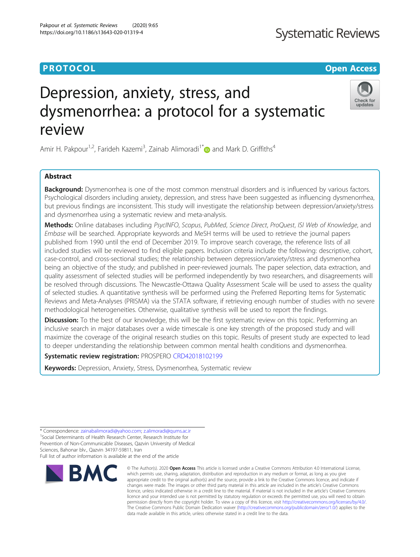## **PROTOCOL CONSUMING THE OPEN ACCESS**

# Depression, anxiety, stress, and dysmenorrhea: a protocol for a systematic review

Amir H. Pakpour<sup>1,2</sup>, Farideh Kazemi<sup>3</sup>, Zainab Alimoradi<sup>1[\\*](https://orcid.org/0000-0001-5327-2411)</sup> and Mark D. Griffiths<sup>4</sup>

## Abstract

Background: Dysmenorrhea is one of the most common menstrual disorders and is influenced by various factors. Psychological disorders including anxiety, depression, and stress have been suggested as influencing dysmenorrhea, but previous findings are inconsistent. This study will investigate the relationship between depression/anxiety/stress and dysmenorrhea using a systematic review and meta-analysis.

Methods: Online databases including PsycINFO, Scopus, PubMed, Science Direct, ProQuest, ISI Web of Knowledge, and Embase will be searched. Appropriate keywords and MeSH terms will be used to retrieve the journal papers published from 1990 until the end of December 2019. To improve search coverage, the reference lists of all included studies will be reviewed to find eligible papers. Inclusion criteria include the following: descriptive, cohort, case-control, and cross-sectional studies; the relationship between depression/anxiety/stress and dysmenorrhea being an objective of the study; and published in peer-reviewed journals. The paper selection, data extraction, and quality assessment of selected studies will be performed independently by two researchers, and disagreements will be resolved through discussions. The Newcastle-Ottawa Quality Assessment Scale will be used to assess the quality of selected studies. A quantitative synthesis will be performed using the Preferred Reporting Items for Systematic Reviews and Meta-Analyses (PRISMA) via the STATA software, if retrieving enough number of studies with no severe methodological heterogeneities. Otherwise, qualitative synthesis will be used to report the findings.

**Discussion:** To the best of our knowledge, this will be the first systematic review on this topic. Performing an inclusive search in major databases over a wide timescale is one key strength of the proposed study and will maximize the coverage of the original research studies on this topic. Results of present study are expected to lead to deeper understanding the relationship between common mental health conditions and dysmenorrhea.

Systematic review registration: PROSPERO [CRD42018102199](https://www.crd.york.ac.uk/prospero/display_record.php?RecordID=102199)

Keywords: Depression, Anxiety, Stress, Dysmenorrhea, Systematic review

© The Author(s), 2020 **Open Access** This article is licensed under a Creative Commons Attribution 4.0 International License, which permits use, sharing, adaptation, distribution and reproduction in any medium or format, as long as you give appropriate credit to the original author(s) and the source, provide a link to the Creative Commons licence, and indicate if changes were made. The images or other third party material in this article are included in the article's Creative Commons licence, unless indicated otherwise in a credit line to the material. If material is not included in the article's Creative Commons licence and your intended use is not permitted by statutory regulation or exceeds the permitted use, you will need to obtain permission directly from the copyright holder. To view a copy of this licence, visit [http://creativecommons.org/licenses/by/4.0/.](http://creativecommons.org/licenses/by/4.0/) The Creative Commons Public Domain Dedication waiver [\(http://creativecommons.org/publicdomain/zero/1.0/](http://creativecommons.org/publicdomain/zero/1.0/)) applies to the data made available in this article, unless otherwise stated in a credit line to the data.

\* Correspondence: [zainabalimoradi@yahoo.com](mailto:zainabalimoradi@yahoo.com); [z.alimoradi@qums.ac.ir](mailto:z.alimoradi@qums.ac.ir) <sup>1</sup>  $1$ Social Determinants of Health Research Center, Research Institute for Prevention of Non-Communicable Diseases, Qazvin University of Medical Sciences, Bahonar blv., Qazvin 34197-59811, Iran Full list of author information is available at the end of the article

**BMC** 



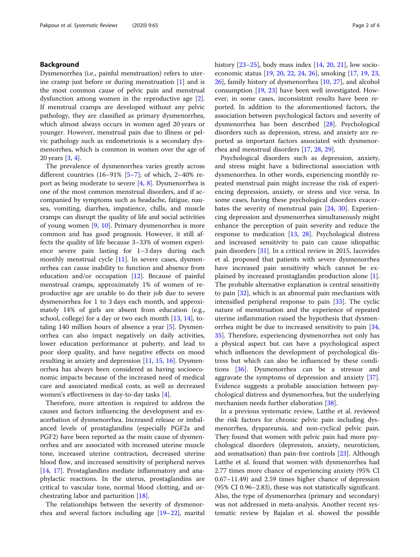## Background

Dysmenorrhea (i.e., painful menstruation) refers to uterine cramp just before or during menstruation [[1\]](#page-4-0) and is the most common cause of pelvic pain and menstrual dysfunction among women in the reproductive age [\[2](#page-4-0)]. If menstrual cramps are developed without any pelvic pathology, they are classified as primary dysmenorrhea, which almost always occurs in women aged 20 years or younger. However, menstrual pain due to illness or pelvic pathology such as endometriosis is a secondary dysmenorrhea, which is common in women over the age of 20 years [\[3](#page-4-0), [4](#page-4-0)].

The prevalence of dysmenorrhea varies greatly across different countries  $(16-91\% \, [5-7]$  $(16-91\% \, [5-7]$  $(16-91\% \, [5-7]$  $(16-91\% \, [5-7]$ ; of which, 2-40% report as being moderate to severe [[4,](#page-4-0) [8\]](#page-4-0). Dysmenorrhea is one of the most common menstrual disorders, and if accompanied by symptoms such as headache, fatigue, nausea, vomiting, diarrhea, impatience, chills, and muscle cramps can disrupt the quality of life and social activities of young women [\[9,](#page-4-0) [10](#page-4-0)]. Primary dysmenorrhea is more common and has good prognosis. However, it still affects the quality of life because 3–33% of women experience severe pain lasting for 1–3 days during each monthly menstrual cycle  $[11]$  $[11]$ . In severe cases, dysmenorrhea can cause inability to function and absence from education and/or occupation [\[12](#page-4-0)]. Because of painful menstrual cramps, approximately 1% of women of reproductive age are unable to do their job due to severe dysmenorrhea for 1 to 3 days each month, and approximately 14% of girls are absent from education (e.g., school, college) for a day or two each month [[13,](#page-4-0) [14](#page-4-0)], totaling 140 million hours of absence a year [[5\]](#page-4-0). Dysmenorrhea can also impact negatively on daily activities, lower education performance at puberty, and lead to poor sleep quality, and have negative effects on mood resulting in anxiety and depression [[11,](#page-4-0) [15,](#page-4-0) [16](#page-4-0)]. Dysmenorrhea has always been considered as having socioeconomic impacts because of the increased need of medical care and associated medical costs, as well as decreased women's effectiveness in day-to-day tasks [[4\]](#page-4-0).

Therefore, more attention is required to address the causes and factors influencing the development and exacerbation of dysmenorrhea. Increased release or imbalanced levels of prostaglandins (especially PGF2a and PGF2) have been reported as the main cause of dysmenorrhea and are associated with increased uterine muscle tone, increased uterine contraction, decreased uterine blood flow, and increased sensitivity of peripheral nerves [[14,](#page-4-0) [17\]](#page-4-0). Prostaglandins mediate inflammatory and anaphylactic reactions. In the uterus, prostaglandins are critical to vascular tone, normal blood clotting, and orchestrating labor and parturition [[18\]](#page-4-0).

The relationships between the severity of dysmenorrhea and several factors including age [\[19](#page-4-0)–[22\]](#page-5-0), marital history [[23](#page-5-0)–[25\]](#page-5-0), body mass index [[14,](#page-4-0) [20,](#page-4-0) [21\]](#page-5-0), low socioeconomic status [\[19](#page-4-0), [20](#page-4-0), [22](#page-5-0), [24](#page-5-0), [26](#page-5-0)], smoking [[17](#page-4-0), [19](#page-4-0), [23](#page-5-0), [26\]](#page-5-0), family history of dysmenorrhea [[10](#page-4-0), [27\]](#page-5-0), and alcohol consumption [\[19,](#page-4-0) [23](#page-5-0)] have been well investigated. However, in some cases, inconsistent results have been reported. In addition to the aforementioned factors, the association between psychological factors and severity of dysmenorrhea has been described [\[28](#page-5-0)]. Psychological disorders such as depression, stress, and anxiety are reported as important factors associated with dysmenorrhea and menstrual disorders [[17,](#page-4-0) [28,](#page-5-0) [29](#page-5-0)].

Psychological disorders such as depression, anxiety, and stress might have a bidirectional association with dysmenorrhea. In other words, experiencing monthly repeated menstrual pain might increase the risk of experiencing depression, anxiety, or stress and vice versa. In some cases, having these psychological disorders exacerbates the severity of menstrual pain [[24](#page-5-0), [30\]](#page-5-0). Experiencing depression and dysmenorrhea simultaneously might enhance the perception of pain severity and reduce the response to medication [[13,](#page-4-0) [28](#page-5-0)]. Psychological distress and increased sensitivity to pain can cause idiopathic pain disorders [[31](#page-5-0)]. In a critical review in 2015, Iacovides et al. proposed that patients with severe dysmenorrhea have increased pain sensitivity which cannot be explained by increased prostaglandin production alone [\[1](#page-4-0)]. The probable alternative explanation is central sensitivity to pain [\[32\]](#page-5-0), which is an abnormal pain mechanism with intensified peripheral response to pain [[33](#page-5-0)]. The cyclic nature of menstruation and the experience of repeated uterine inflammation raised the hypothesis that dysmenorrhea might be due to increased sensitivity to pain [[34](#page-5-0), [35\]](#page-5-0). Therefore, experiencing dysmenorrhea not only has a physical aspect but can have a psychological aspect which influences the development of psychological distress but which can also be influenced by these conditions [[36](#page-5-0)]. Dysmenorrhea can be a stressor and aggravate the symptoms of depression and anxiety [\[37](#page-5-0)]. Evidence suggests a probable association between psychological distress and dysmenorrhea, but the underlying mechanism needs further elaboration [[38\]](#page-5-0).

In a previous systematic review, Latthe et al. reviewed the risk factors for chronic pelvic pain including dysmenorrhea, dyspareunia, and non-cyclical pelvic pain. They found that women with pelvic pain had more psychological disorders (depression, anxiety, neuroticism, and somatisation) than pain-free controls [[23\]](#page-5-0). Although Latthe et al. found that women with dysmenorrhea had 2.77 times more chance of experiencing anxiety (95% CI 0.67–11.49) and 2.59 times higher chance of depression (95% CI 0.96–2.83), these was not statistically significant. Also, the type of dysmenorrhea (primary and secondary) was not addressed in meta-analysis. Another recent systematic review by Bajalan et al. showed the possible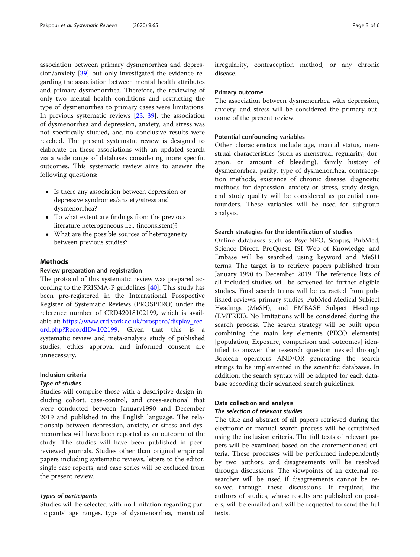association between primary dysmenorrhea and depression/anxiety [[39](#page-5-0)] but only investigated the evidence regarding the association between mental health attributes and primary dysmenorrhea. Therefore, the reviewing of only two mental health conditions and restricting the type of dysmenorrhea to primary cases were limitations. In previous systematic reviews [[23,](#page-5-0) [39](#page-5-0)], the association of dysmenorrhea and depression, anxiety, and stress was not specifically studied, and no conclusive results were reached. The present systematic review is designed to elaborate on these associations with an updated search via a wide range of databases considering more specific outcomes. This systematic review aims to answer the following questions:

- Is there any association between depression or depressive syndromes/anxiety/stress and dysmenorrhea?
- To what extent are findings from the previous literature heterogeneous i.e., (inconsistent)?
- What are the possible sources of heterogeneity between previous studies?

## Methods

## Review preparation and registration

The protocol of this systematic review was prepared according to the PRISMA-P guidelines [[40\]](#page-5-0). This study has been pre-registered in the International Prospective Register of Systematic Reviews (PROSPERO) under the reference number of CRD42018102199, which is available at: [https://www.crd.york.ac.uk/prospero/display\\_rec](https://www.crd.york.ac.uk/prospero/display_record.php?RecordID=102199)[ord.php?RecordID=102199.](https://www.crd.york.ac.uk/prospero/display_record.php?RecordID=102199) Given that this is a systematic review and meta-analysis study of published studies, ethics approval and informed consent are unnecessary.

## Inclusion criteria

## Type of studies

Studies will comprise those with a descriptive design including cohort, case-control, and cross-sectional that were conducted between January1990 and December 2019 and published in the English language. The relationship between depression, anxiety, or stress and dysmenorrhea will have been reported as an outcome of the study. The studies will have been published in peerreviewed journals. Studies other than original empirical papers including systematic reviews, letters to the editor, single case reports, and case series will be excluded from the present review.

## Types of participants

Studies will be selected with no limitation regarding participants' age ranges, type of dysmenorrhea, menstrual irregularity, contraception method, or any chronic disease.

## Primary outcome

The association between dysmenorrhea with depression, anxiety, and stress will be considered the primary outcome of the present review.

#### Potential confounding variables

Other characteristics include age, marital status, menstrual characteristics (such as menstrual regularity, duration, or amount of bleeding), family history of dysmenorrhea, parity, type of dysmenorrhea, contraception methods, existence of chronic disease, diagnostic methods for depression, anxiety or stress, study design, and study quality will be considered as potential confounders. These variables will be used for subgroup analysis.

#### Search strategies for the identification of studies

Online databases such as PsycINFO, Scopus, PubMed, Science Direct, ProQuest, ISI Web of Knowledge, and Embase will be searched using keyword and MeSH terms. The target is to retrieve papers published from January 1990 to December 2019. The reference lists of all included studies will be screened for further eligible studies. Final search terms will be extracted from published reviews, primary studies, PubMed Medical Subject Headings (MeSH), and EMBASE Subject Headings (EMTREE). No limitations will be considered during the search process. The search strategy will be built upon combining the main key elements (PECO elements) [population, Exposure, comparison and outcomes] identified to answer the research question nested through Boolean operators AND/OR generating the search strings to be implemented in the scientific databases. In addition, the search syntax will be adapted for each database according their advanced search guidelines.

## Data collection and analysis

#### The selection of relevant studies

The title and abstract of all papers retrieved during the electronic or manual search process will be scrutinized using the inclusion criteria. The full texts of relevant papers will be examined based on the aforementioned criteria. These processes will be performed independently by two authors, and disagreements will be resolved through discussions. The viewpoints of an external researcher will be used if disagreements cannot be resolved through these discussions. If required, the authors of studies, whose results are published on posters, will be emailed and will be requested to send the full texts.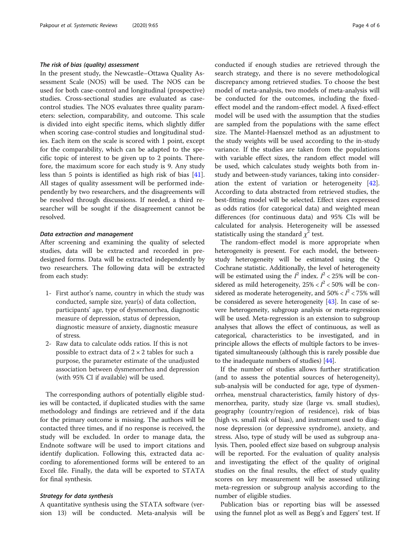#### The risk of bias (quality) assessment

In the present study, the Newcastle–Ottawa Quality Assessment Scale (NOS) will be used. The NOS can be used for both case-control and longitudinal (prospective) studies. Cross-sectional studies are evaluated as casecontrol studies. The NOS evaluates three quality parameters: selection, comparability, and outcome. This scale is divided into eight specific items, which slightly differ when scoring case-control studies and longitudinal studies. Each item on the scale is scored with 1 point, except for the comparability, which can be adapted to the specific topic of interest to be given up to 2 points. Therefore, the maximum score for each study is 9. Any study less than 5 points is identified as high risk of bias [\[41](#page-5-0)]. All stages of quality assessment will be performed independently by two researchers, and the disagreements will be resolved through discussions. If needed, a third researcher will be sought if the disagreement cannot be resolved.

## Data extraction and management

After screening and examining the quality of selected studies, data will be extracted and recorded in predesigned forms. Data will be extracted independently by two researchers. The following data will be extracted from each study:

- 1- First author's name, country in which the study was conducted, sample size, year(s) of data collection, participants' age, type of dysmenorrhea, diagnostic measure of depression, status of depression, diagnostic measure of anxiety, diagnostic measure of stress.
- 2- Raw data to calculate odds ratios. If this is not possible to extract data of  $2 \times 2$  tables for such a purpose, the parameter estimate of the unadjusted association between dysmenorrhea and depression (with 95% CI if available) will be used.

The corresponding authors of potentially eligible studies will be contacted, if duplicated studies with the same methodology and findings are retrieved and if the data for the primary outcome is missing. The authors will be contacted three times, and if no response is received, the study will be excluded. In order to manage data, the Endnote software will be used to import citations and identify duplication. Following this, extracted data according to aforementioned forms will be entered to an Excel file. Finally, the data will be exported to STATA for final synthesis.

## Strategy for data synthesis

A quantitative synthesis using the STATA software (version 13) will be conducted. Meta-analysis will be conducted if enough studies are retrieved through the search strategy, and there is no severe methodological discrepancy among retrieved studies. To choose the best model of meta-analysis, two models of meta-analysis will be conducted for the outcomes, including the fixedeffect model and the random-effect model. A fixed-effect model will be used with the assumption that the studies are sampled from the populations with the same effect size. The Mantel-Haenszel method as an adjustment to the study weights will be used according to the in-study variance. If the studies are taken from the populations with variable effect sizes, the random effect model will be used, which calculates study weights both from instudy and between-study variances, taking into consideration the extent of variation or heterogeneity [\[42](#page-5-0)]. According to data abstracted from retrieved studies, the best-fitting model will be selected. Effect sizes expressed as odds ratios (for categorical data) and weighted mean differences (for continuous data) and 95% CIs will be calculated for analysis. Heterogeneity will be assessed statistically using the standard  $\chi^2$  test.

The random-effect model is more appropriate when heterogeneity is present. For each model, the betweenstudy heterogeneity will be estimated using the Q Cochrane statistic. Additionally, the level of heterogeneity will be estimated using the  $I^2$  index.  $I^2$  < 25% will be considered as mild heterogeneity,  $25\% < I^2 < 50\%$  will be considered as moderate heterogeneity, and  $50\% < I^2 < 75\%$  will be considered as severe heterogeneity [\[43\]](#page-5-0). In case of severe heterogeneity, subgroup analysis or meta-regression will be used. Meta-regression is an extension to subgroup analyses that allows the effect of continuous, as well as categorical, characteristics to be investigated, and in principle allows the effects of multiple factors to be investigated simultaneously (although this is rarely possible due to the inadequate numbers of studies) [[44](#page-5-0)].

If the number of studies allows further stratification (and to assess the potential sources of heterogeneity), sub-analysis will be conducted for age, type of dysmenorrhea, menstrual characteristics, family history of dysmenorrhea, parity, study size (large vs. small studies), geography (country/region of residence), risk of bias (high vs. small risk of bias), and instrument used to diagnose depression (or depressive syndrome), anxiety, and stress. Also, type of study will be used as subgroup analysis. Then, pooled effect size based on subgroup analysis will be reported. For the evaluation of quality analysis and investigating the effect of the quality of original studies on the final results, the effect of study quality scores on key measurement will be assessed utilizing meta-regression or subgroup analysis according to the number of eligible studies.

Publication bias or reporting bias will be assessed using the funnel plot as well as Begg's and Eggers' test. If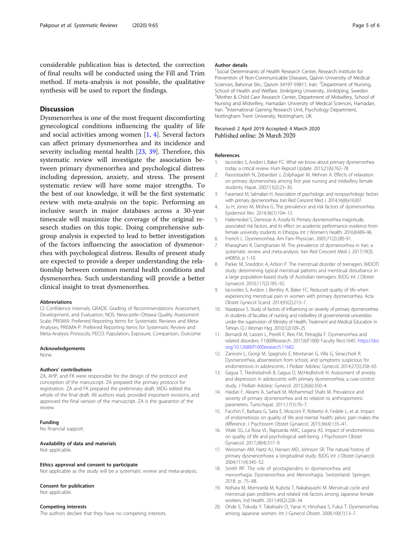<span id="page-4-0"></span>considerable publication bias is detected, the correction of final results will be conducted using the Fill and Trim method. If meta-analysis is not possible, the qualitative synthesis will be used to report the findings.

## **Discussion**

Dysmenorrhea is one of the most frequent discomforting gynecological conditions influencing the quality of life and social activities among women [1, 4]. Several factors can affect primary dysmenorrhea and its incidence and severity including mental health [[23,](#page-5-0) [39](#page-5-0)]. Therefore, this systematic review will investigate the association between primary dysmenorrhea and psychological distress including depression, anxiety, and stress. The present systematic review will have some major strengths. To the best of our knowledge, it will be the first systematic review with meta-analysis on the topic. Performing an inclusive search in major databases across a 30-year timescale will maximize the coverage of the original research studies on this topic. Doing comprehensive subgroup analysis is expected to lead to better investigation of the factors influencing the association of dysmenorrhea with psychological distress. Results of present study are expected to provide a deeper understanding the relationship between common mental health conditions and dysmenorrhea. Such understanding will provide a better clinical insight to treat dysmenorrhea.

#### **Abbreviations**

CI: Confidence intervals; GRADE: Grading of Recommendations Assessment, Development, and Evaluation; NOS: Newcastle–Ottawa Quality Assessment Scale; PRISMA: Preferred Reporting Items for Systematic Reviews and Meta-Analyses; PRISMA-P: Preferred Reporting Items for Systematic Review and Meta-Analysis Protocols; PECO: Papulation, Exposure, Comparison, Outcome

#### Acknowledgements

None.

#### Authors' contributions

ZA, AHP, and FK were responsible for the design of the protocol and conception of the manuscript. ZA prepared the primary protocol for registration. ZA and FK prepared the preliminary draft. MDG edited the whole of the final draft. All authors read, provided important revisions, and approved the final version of the manuscript. ZA is the guarantor of the review.

#### Funding

No financial support.

## Availability of data and materials

Not applicable.

## Not applicable as the study will be a systematic review and meta-analysis.

Ethics approval and consent to participate

#### Consent for publication

Not applicable.

#### Competing interests

The authors declare that they have no competing interests.

#### Author details

<sup>1</sup>Social Determinants of Health Research Center, Research Institute for Prevention of Non-Communicable Diseases, Qazvin University of Medical Sciences, Bahonar blv., Qazvin 34197-59811, Iran. <sup>2</sup>Department of Nursing, School of Health and Welfare, Jönköping University, Jönköping, Sweden. <sup>3</sup>Mother & Child Care Research Center, Department of Midwifery, School of Nursing and Midwifery, Hamadan University of Medical Sciences, Hamadan, Iran. <sup>4</sup>International Gaming Research Unit, Psychology Department, Nottingham Trent University, Nottingham, UK.

#### Received: 2 April 2019 Accepted: 4 March 2020 Published online: 26 March 2020

#### References

- 1. Iacovides S, Avidon I, Baker FC. What we know about primary dysmenorrhea today: a critical review. Hum Reprod Update. 2015;21(6):762–78.
- 2. Rasoolzadeh N, Zebardast J, Zolphagari M, Mehran A, Effects of relaxation on primary dysmenorhea among first year nursing and midwifery female students. Hayat. 2007;13(2):23–30.
- 3. Faramarzi M, Salmalian H. Association of psychologic and nonpsychologic factors with primary dysmenorrhea. Iran Red Crescent Med J. 2014;16(8):e16307.
- 4. Ju H, Jones M, Mishra G. The prevalence and risk factors of dysmenorrhea. Epidemiol Rev. 2014;36(1):104–13.
- 5. Hailemeskel S, Demissie A, Assefa N. Primary dysmenorrhea magnitude, associated risk factors, and its effect on academic performance: evidence from female university students in Ethiopia. Int J Women's Health. 2016;8:489–96.
- 6. French L. Dysmenorrhea. Am Fam Physician. 2005;71(2):285-91.
- 7. Kharaghani R, Damghanian M. The prevalence of dysmenorrhea in Iran: a systematic review and meta-analysis. Iran Red Crescent Med J. 2017;19(3): e40856, p 1-10.
- 8. Parker M, Sneddon A, Arbon P. The menstrual disorder of teenagers (MDOT) study: determining typical menstrual patterns and menstrual disturbance in a large population-based study of Australian teenagers. BJOG Int J Obstet Gynaecol. 2010;117(2):185–92.
- 9. Iacovides S, Avidon I, Bentley A, Baker FC. Reduced quality of life when experiencing menstrual pain in women with primary dysmenorrhea. Acta Obstet Gynecol Scand. 2014;93(2):213–7.
- 10. Nazarpour S. Study of factors of influencing on severity of primary dysmenorrhea in students of faculties of nursing and midwifery of governmental universities under the supervision of Ministry of Health, Treatment and Medical Education in Tehran. Q J Woman Hyg. 2010;1(2):109–25.
- 11. Bernardi M, Lazzeri L, Perelli F, Reis FM, Petraglia F. Dysmenorrhea and related disorders. F1000Research. 2017;6(F1000 Faculty Rev):1645. [https://doi.](https://doi.org/10.12688/f1000research.11682) [org/10.12688/f1000research.11682.](https://doi.org/10.12688/f1000research.11682)
- 12. Zannoni L, Giorgi M, Spagnolo E, Montanari G, Villa G, Seracchioli R. Dysmenorrhea, absenteeism from school, and symptoms suspicious for endometriosis in adolescents. J Pediatr Adolesc Gynecol. 2014;27(5):258–65.
- 13. Gagua T, Tkeshelashvili B, Gagua D, McHedlishvili N. Assessment of anxiety and depression in adolescents with primary dysmenorrhea: a case-control study. J Pediatr Adolesc Gynecol. 2013;26(6):350–4.
- 14. Haidari F, Akrami A, Sarhadi M, Mohammad Shahi M. Prevalence and severity of primary dysmenorrhea and its relation to anthropometric parameters. Tums-hayat. 2011;17(1):70–7.
- 15. Facchin F, Barbara G, Saita E, Mosconi P, Roberto A, Fedele L, et al. Impact of endometriosis on quality of life and mental health: pelvic pain makes the difference. J Psychosom Obstet Gynaecol. 2015;36(4):135–41.
- 16. Vitale SG, La Rosa VL, Rapisarda AMC, Lagana AS. Impact of endometriosis on quality of life and psychological well-being. J Psychosom Obstet Gynaecol. 2017;38(4):317–9.
- 17. Weissman AM, Hartz AJ, Hansen MD, Johnson SR. The natural history of primary dysmenorrhoea: a longitudinal study. BJOG Int J Obstet Gynaecol. 2004;111(4):345–52.
- 18. Smith RP. The role of prostaglandins in dysmenorrhea and menorrhagia: Dysmenorrhea and Menorrhagia. Switzerland: Springer; 2018. p. 75–88.
- 19. Nohara M, Momoeda M, Kubota T, Nakabayashi M. Menstrual cycle and menstrual pain problems and related risk factors among Japanese female workers. Ind Health. 2011;49(2):228–34.
- 20. Ohde S, Tokuda Y, Takahashi O, Yanai H, Hinohara S, Fukui T. Dysmenorrhea among Japanese women. Int J Gynecol Obstet. 2008;100(1):13–7.